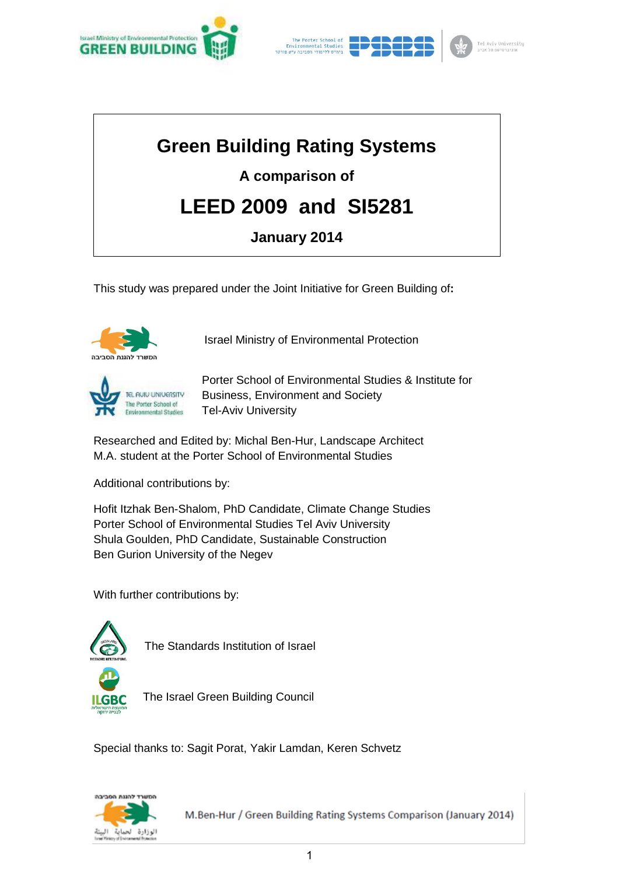





# **Green Building Rating Systems**

# **A comparison of**

# **LEED 2009 and SI5281**

# **January 2014**

This study was prepared under the Joint Initiative for Green Building of**:** 



Israel Ministry of Environmental Protection



Porter School of Environmental Studies & Institute for Business, Environment and Society Tel-Aviv University

Researched and Edited by: Michal Ben-Hur, Landscape Architect M.A. student at the Porter School of Environmental Studies

Additional contributions by:

Hofit Itzhak Ben-Shalom, PhD Candidate, Climate Change Studies Porter School of Environmental Studies Tel Aviv University Shula Goulden, PhD Candidate, Sustainable Construction Ben Gurion University of the Negev

With further contributions by:



The Standards Institution of Israel



The Israel Green Building Council

Special thanks to: Sagit Porat, Yakir Lamdan, Keren Schvetz

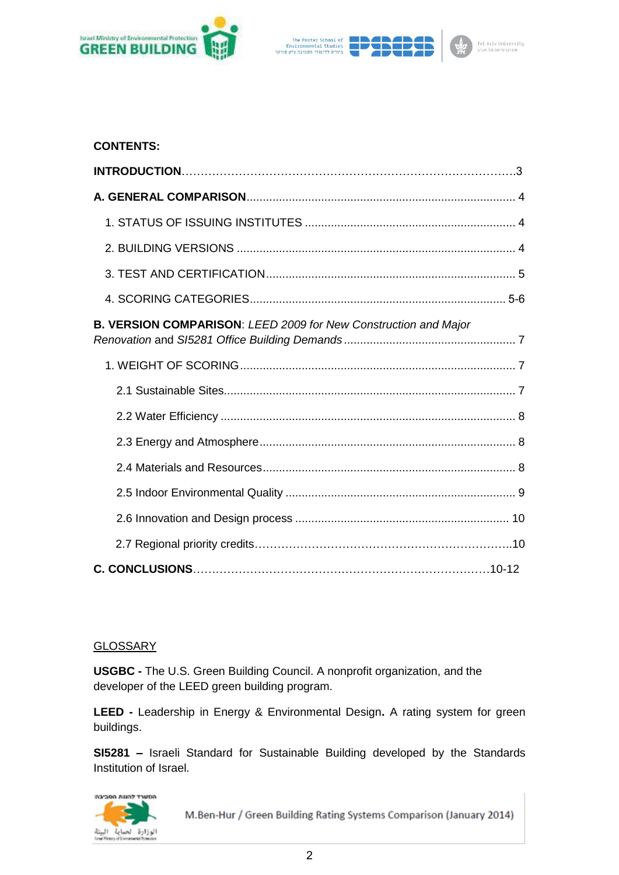



# **CONTENTS:**

| B. VERSION COMPARISON: LEED 2009 for New Construction and Major |  |
|-----------------------------------------------------------------|--|
|                                                                 |  |
|                                                                 |  |
|                                                                 |  |
|                                                                 |  |
|                                                                 |  |
|                                                                 |  |
|                                                                 |  |
|                                                                 |  |
|                                                                 |  |

# GLOSSARY

**USGBC -** The U.S. Green Building Council. A nonprofit organization, and the developer of the LEED green building program.

**LEED -** Leadership in Energy & Environmental Design**.** A rating system for green buildings.

**SI5281 –** Israeli Standard for Sustainable Building developed by the Standards Institution of Israel.

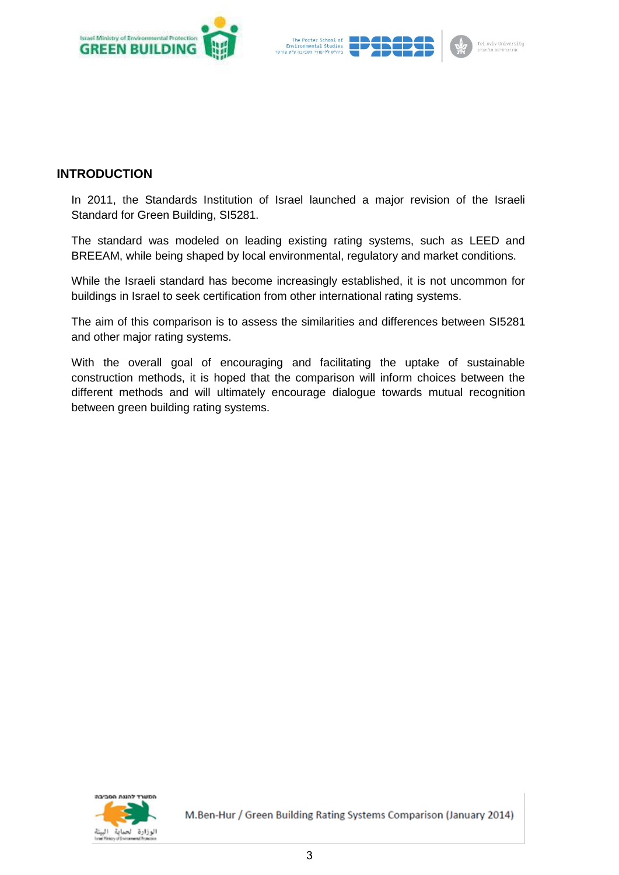



# **INTRODUCTION**

In 2011, the Standards Institution of Israel launched a major revision of the Israeli Standard for Green Building, SI5281.

The standard was modeled on leading existing rating systems, such as LEED and BREEAM, while being shaped by local environmental, regulatory and market conditions.

While the Israeli standard has become increasingly established, it is not uncommon for buildings in Israel to seek certification from other international rating systems.

The aim of this comparison is to assess the similarities and differences between SI5281 and other major rating systems.

With the overall goal of encouraging and facilitating the uptake of sustainable construction methods, it is hoped that the comparison will inform choices between the different methods and will ultimately encourage dialogue towards mutual recognition between green building rating systems.

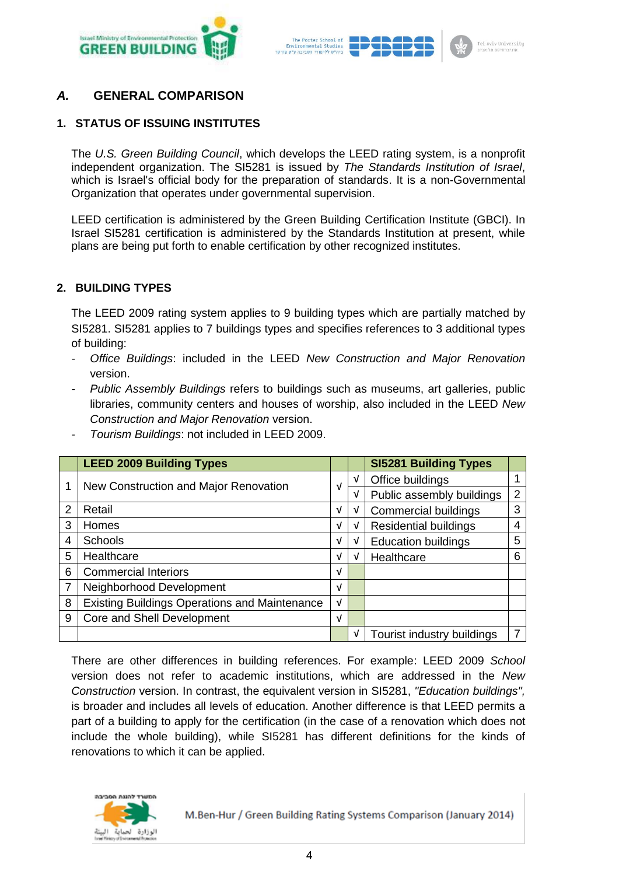



# *A.* **GENERAL COMPARISON**

# **1. STATUS OF ISSUING INSTITUTES**

The *U.S. Green Building Council*, which develops the LEED rating system, is a nonprofit independent organization. The SI5281 is issued by *The Standards Institution of Israel*, which is Israel's official body for the preparation of standards. It is a non-Governmental Organization that operates under governmental supervision.

LEED certification is administered by the Green Building Certification Institute (GBCI). In Israel SI5281 certification is administered by the Standards Institution at present, while plans are being put forth to enable certification by other recognized institutes.

#### **2. BUILDING TYPES**

The LEED 2009 rating system applies to 9 building types which are partially matched by SI5281. SI5281 applies to 7 buildings types and specifies references to 3 additional types of building:

- *- Office Buildings*: included in the LEED *New Construction and Major Renovation* version.
- *- Public Assembly Buildings* refers to buildings such as museums, art galleries, public libraries, community centers and houses of worship, also included in the LEED *New Construction and Major Renovation* version.

|   | <b>LEED 2009 Building Types</b>                      |            |   | <b>SI5281 Building Types</b> |   |
|---|------------------------------------------------------|------------|---|------------------------------|---|
|   | New Construction and Major Renovation                |            | v | Office buildings             |   |
|   |                                                      | V          | V | Public assembly buildings    | 2 |
| 2 | Retail                                               | $\sqrt{ }$ | V | <b>Commercial buildings</b>  | 3 |
| 3 | <b>Homes</b>                                         | V          | V | <b>Residential buildings</b> |   |
| 4 | <b>Schools</b>                                       | V          | V | <b>Education buildings</b>   | 5 |
| 5 | Healthcare                                           | V          | V | Healthcare                   | 6 |
| 6 | <b>Commercial Interiors</b>                          | V          |   |                              |   |
|   | Neighborhood Development                             | V          |   |                              |   |
| 8 | <b>Existing Buildings Operations and Maintenance</b> | V          |   |                              |   |
| 9 | Core and Shell Development                           | V          |   |                              |   |
|   |                                                      |            | V | Tourist industry buildings   | 7 |

*- Tourism Buildings*: not included in LEED 2009.

There are other differences in building references. For example: LEED 2009 *School* version does not refer to academic institutions, which are addressed in the *New Construction* version. In contrast, the equivalent version in SI5281, *"Education buildings",* is broader and includes all levels of education. Another difference is that LEED permits a part of a building to apply for the certification (in the case of a renovation which does not include the whole building), while SI5281 has different definitions for the kinds of renovations to which it can be applied.

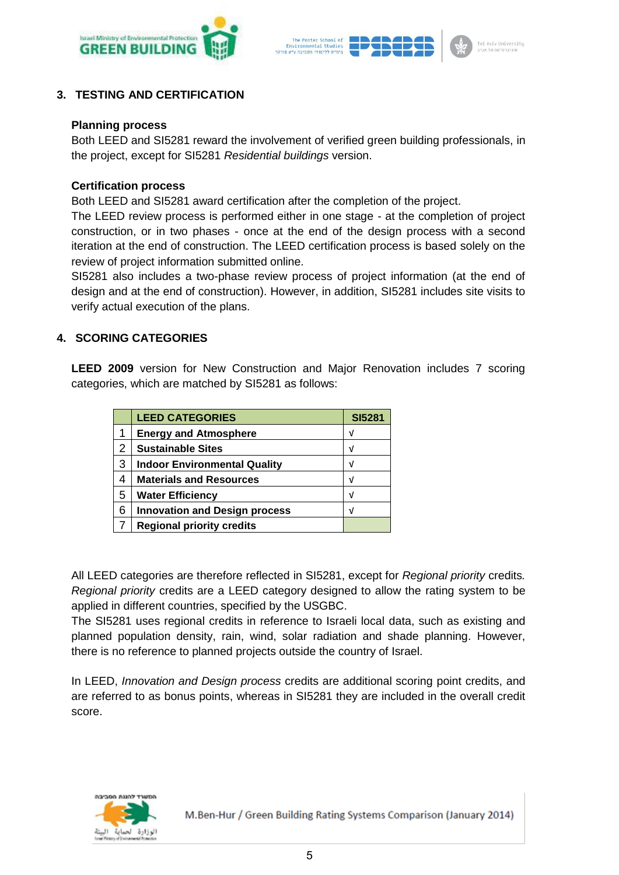



## **3. TESTING AND CERTIFICATION**

#### **Planning process**

Both LEED and SI5281 reward the involvement of verified green building professionals, in the project, except for SI5281 *Residential buildings* version.

#### **Certification process**

Both LEED and SI5281 award certification after the completion of the project.

The LEED review process is performed either in one stage - at the completion of project construction, or in two phases - once at the end of the design process with a second iteration at the end of construction. The LEED certification process is based solely on the review of project information submitted online.

SI5281 also includes a two-phase review process of project information (at the end of design and at the end of construction). However, in addition, SI5281 includes site visits to verify actual execution of the plans.

#### **4. SCORING CATEGORIES**

**LEED 2009** version for New Construction and Major Renovation includes 7 scoring categories, which are matched by SI5281 as follows:

|                | <b>LEED CATEGORIES</b>               | <b>SI5281</b> |
|----------------|--------------------------------------|---------------|
|                | <b>Energy and Atmosphere</b>         | ν             |
| $\overline{2}$ | <b>Sustainable Sites</b>             | V             |
| 3              | <b>Indoor Environmental Quality</b>  | V             |
| 4              | <b>Materials and Resources</b>       | V             |
| 5              | <b>Water Efficiency</b>              | V             |
| 6              | <b>Innovation and Design process</b> | V             |
|                | <b>Regional priority credits</b>     |               |

All LEED categories are therefore reflected in SI5281, except for *Regional priority* credits*. Regional priority* credits are a LEED category designed to allow the rating system to be applied in different countries, specified by the USGBC.

The SI5281 uses regional credits in reference to Israeli local data, such as existing and planned population density, rain, wind, solar radiation and shade planning. However, there is no reference to planned projects outside the country of Israel.

In LEED, *Innovation and Design process* credits are additional scoring point credits, and are referred to as bonus points, whereas in SI5281 they are included in the overall credit score.

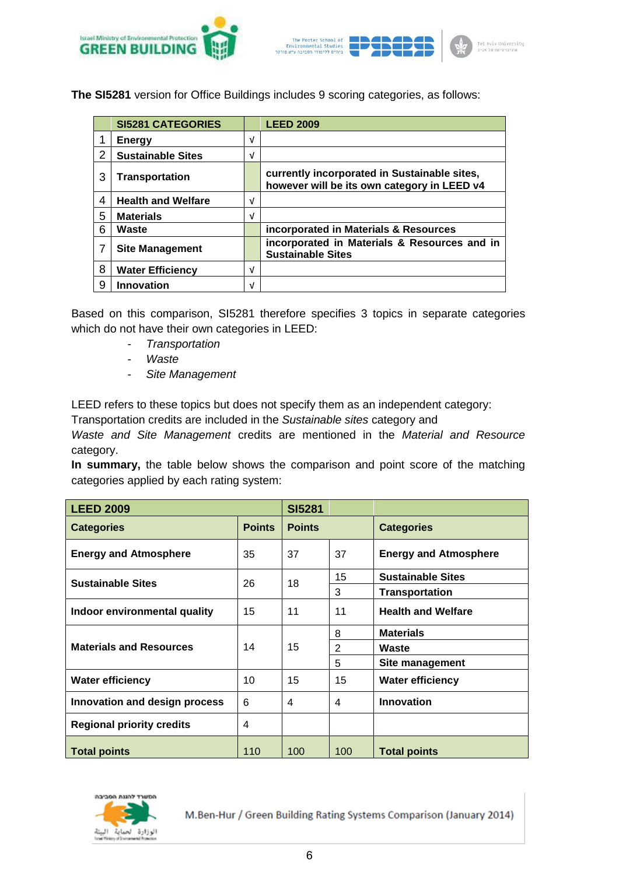



**The SI5281** version for Office Buildings includes 9 scoring categories, as follows:

|   | <b>SI5281 CATEGORIES</b>  |   | <b>LEED 2009</b>                                                                            |
|---|---------------------------|---|---------------------------------------------------------------------------------------------|
|   | <b>Energy</b>             | V |                                                                                             |
| 2 | <b>Sustainable Sites</b>  | V |                                                                                             |
| 3 | <b>Transportation</b>     |   | currently incorporated in Sustainable sites,<br>however will be its own category in LEED v4 |
| 4 | <b>Health and Welfare</b> | V |                                                                                             |
| 5 | <b>Materials</b>          | V |                                                                                             |
| 6 | Waste                     |   | incorporated in Materials & Resources                                                       |
| 7 | <b>Site Management</b>    |   | incorporated in Materials & Resources and in<br><b>Sustainable Sites</b>                    |
| 8 | <b>Water Efficiency</b>   | V |                                                                                             |
| 9 | <b>Innovation</b>         | V |                                                                                             |

Based on this comparison, SI5281 therefore specifies 3 topics in separate categories which do not have their own categories in LEED:

- *Transportation*
- *Waste*
- *Site Management*

LEED refers to these topics but does not specify them as an independent category:

Transportation credits are included in the *Sustainable sites* category and

*Waste and Site Management* credits are mentioned in the *Material and Resource* category.

**In summary,** the table below shows the comparison and point score of the matching categories applied by each rating system:

| <b>LEED 2009</b>                 | <b>SI5281</b> |               |                |                              |  |  |
|----------------------------------|---------------|---------------|----------------|------------------------------|--|--|
| <b>Categories</b>                | <b>Points</b> | <b>Points</b> |                | <b>Categories</b>            |  |  |
| <b>Energy and Atmosphere</b>     | 35            | 37            | 37             | <b>Energy and Atmosphere</b> |  |  |
| <b>Sustainable Sites</b>         | 26            | 18            | 15             | <b>Sustainable Sites</b>     |  |  |
|                                  |               |               | 3              | <b>Transportation</b>        |  |  |
| Indoor environmental quality     | 15            | 11            | 11             | <b>Health and Welfare</b>    |  |  |
|                                  | 14            | 15            | 8              | <b>Materials</b>             |  |  |
| <b>Materials and Resources</b>   |               |               | $\overline{2}$ | Waste                        |  |  |
|                                  |               |               | 5              | Site management              |  |  |
| <b>Water efficiency</b>          | 10            | 15            | 15             | <b>Water efficiency</b>      |  |  |
| Innovation and design process    | 6             | 4             | 4              | <b>Innovation</b>            |  |  |
| <b>Regional priority credits</b> | 4             |               |                |                              |  |  |
| <b>Total points</b>              | 110           | 100           | 100            | <b>Total points</b>          |  |  |

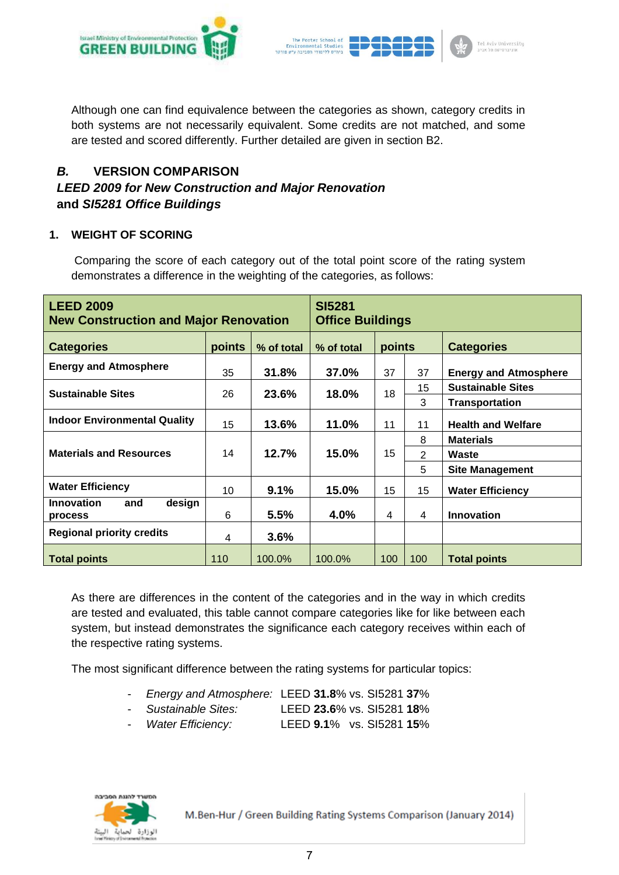



Although one can find equivalence between the categories as shown, category credits in both systems are not necessarily equivalent. Some credits are not matched, and some are tested and scored differently. Further detailed are given in section B2.

# *B.* **VERSION COMPARISON**

# *LEED 2009 for New Construction and Major Renovation* **and** *SI5281 Office Buildings*

# **1. WEIGHT OF SCORING**

Comparing the score of each category out of the total point score of the rating system demonstrates a difference in the weighting of the categories, as follows:

| <b>LEED 2009</b><br><b>New Construction and Major Renovation</b> | <b>SI5281</b><br><b>Office Buildings</b> |            |            |        |                |                              |
|------------------------------------------------------------------|------------------------------------------|------------|------------|--------|----------------|------------------------------|
| <b>Categories</b>                                                | points                                   | % of total | % of total | points |                | <b>Categories</b>            |
| <b>Energy and Atmosphere</b>                                     | 35                                       | 31.8%      | 37.0%      | 37     | 37             | <b>Energy and Atmosphere</b> |
| <b>Sustainable Sites</b>                                         |                                          | 23.6%      | 18.0%      | 18     | 15             | <b>Sustainable Sites</b>     |
|                                                                  | 26                                       |            |            |        | 3              | <b>Transportation</b>        |
| <b>Indoor Environmental Quality</b>                              | 15                                       | 13.6%      | 11.0%      | 11     | 11             | <b>Health and Welfare</b>    |
|                                                                  |                                          |            |            |        | 8              | <b>Materials</b>             |
| <b>Materials and Resources</b>                                   | 14                                       | 12.7%      | 15.0%      | 15     | $\overline{2}$ | Waste                        |
|                                                                  |                                          |            |            |        | 5              | <b>Site Management</b>       |
| <b>Water Efficiency</b>                                          | 10                                       | 9.1%       | 15.0%      | 15     | 15             | <b>Water Efficiency</b>      |
| <b>Innovation</b><br>design<br>and<br><b>process</b>             | 6                                        | 5.5%       | 4.0%       | 4      | 4              | <b>Innovation</b>            |
| <b>Regional priority credits</b>                                 | 4                                        | $3.6\%$    |            |        |                |                              |
| <b>Total points</b>                                              | 110                                      | 100.0%     | 100.0%     | 100    | 100            | <b>Total points</b>          |

As there are differences in the content of the categories and in the way in which credits are tested and evaluated, this table cannot compare categories like for like between each system, but instead demonstrates the significance each category receives within each of the respective rating systems.

The most significant difference between the rating systems for particular topics:

- *Energy and Atmosphere:* LEED **31.8**% vs. SI5281 **37**%
	- *Sustainable Sites:* LEED **23.6**% vs. SI5281 **18**%
- *Water Efficiency:* LEED **9.1**% vs. SI5281 **15**%

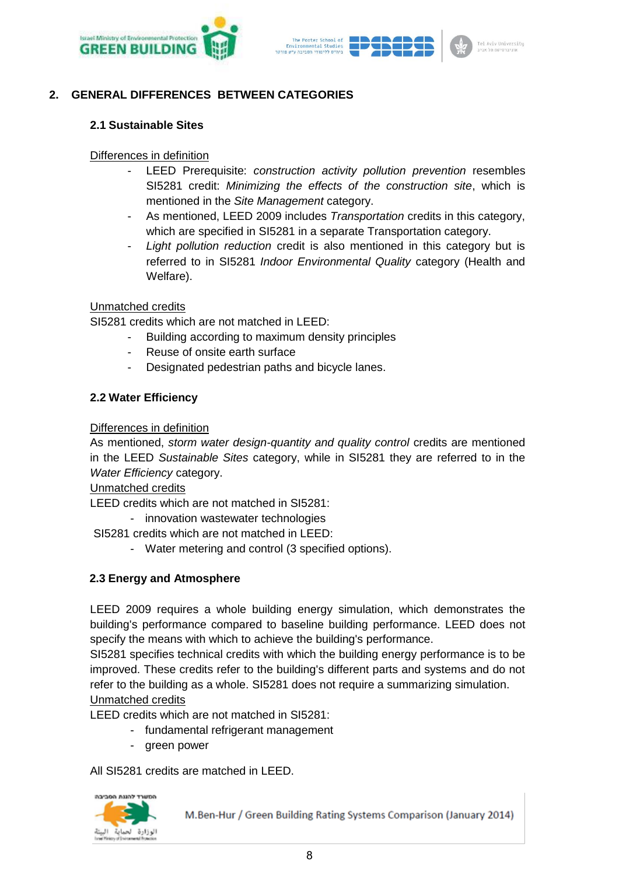



# **2. GENERAL DIFFERENCES BETWEEN CATEGORIES**

#### **2.1 Sustainable Sites**

#### Differences in definition

- LEED Prerequisite: *construction activity pollution prevention* resembles SI5281 credit: *Minimizing the effects of the construction site*, which is mentioned in the *Site Management* category.
- As mentioned, LEED 2009 includes *Transportation* credits in this category, which are specified in SI5281 in a separate Transportation category.
- Light pollution reduction credit is also mentioned in this category but is referred to in SI5281 *Indoor Environmental Quality* category (Health and Welfare).

#### Unmatched credits

SI5281 credits which are not matched in LEED:

- Building according to maximum density principles
- Reuse of onsite earth surface
- Designated pedestrian paths and bicycle lanes.

#### **2.2 Water Efficiency**

#### Differences in definition

As mentioned, *storm water design-quantity and quality control* credits are mentioned in the LEED *Sustainable Sites* category, while in SI5281 they are referred to in the *Water Efficiency* category.

Unmatched credits

LEED credits which are not matched in SI5281:

- innovation wastewater technologies

SI5281 credits which are not matched in LEED:

- Water metering and control (3 specified options).

# **2.3 Energy and Atmosphere**

LEED 2009 requires a whole building energy simulation, which demonstrates the building's performance compared to baseline building performance. LEED does not specify the means with which to achieve the building's performance.

SI5281 specifies technical credits with which the building energy performance is to be improved. These credits refer to the building's different parts and systems and do not refer to the building as a whole. SI5281 does not require a summarizing simulation. Unmatched credits

LEED credits which are not matched in SI5281:

- fundamental refrigerant management
- green power

All SI5281 credits are matched in LEED.

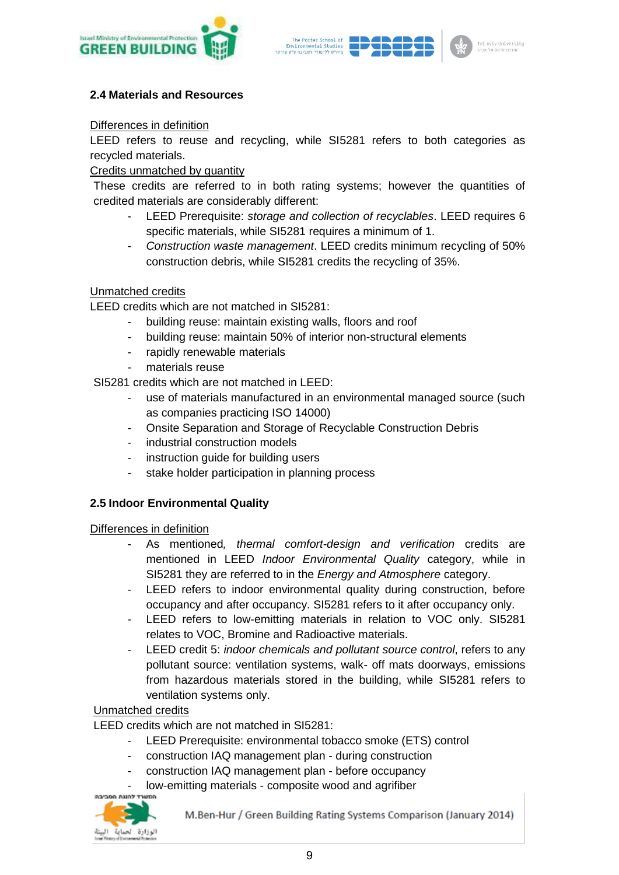



## **2.4 Materials and Resources**

#### Differences in definition

LEED refers to reuse and recycling, while SI5281 refers to both categories as recycled materials.

#### Credits unmatched by quantity

These credits are referred to in both rating systems; however the quantities of credited materials are considerably different:

- LEED Prerequisite: *storage and collection of recyclables*. LEED requires 6 specific materials, while SI5281 requires a minimum of 1.
- *Construction waste management*. LEED credits minimum recycling of 50% construction debris, while SI5281 credits the recycling of 35%.

#### Unmatched credits

LEED credits which are not matched in SI5281:

- building reuse: maintain existing walls, floors and roof
- building reuse: maintain 50% of interior non-structural elements
- rapidly renewable materials
- materials reuse

SI5281 credits which are not matched in LEED:

- use of materials manufactured in an environmental managed source (such as companies practicing ISO 14000)
- Onsite Separation and Storage of Recyclable Construction Debris
- industrial construction models
- instruction guide for building users
- stake holder participation in planning process

#### **2.5 Indoor Environmental Quality**

#### Differences in definition

- As mentioned*, thermal comfort-design and verification* credits are mentioned in LEED *Indoor Environmental Quality* category, while in SI5281 they are referred to in the *Energy and Atmosphere* category.
- LEED refers to indoor environmental quality during construction, before occupancy and after occupancy. SI5281 refers to it after occupancy only.
- LEED refers to low-emitting materials in relation to VOC only. SI5281 relates to VOC, Bromine and Radioactive materials.
- LEED credit 5: *indoor chemicals and pollutant source control*, refers to any pollutant source: ventilation systems, walk- off mats doorways, emissions from hazardous materials stored in the building, while SI5281 refers to ventilation systems only.

## Unmatched credits

LEED credits which are not matched in SI5281:

- LEED Prerequisite: environmental tobacco smoke (ETS) control
- construction IAQ management plan during construction
- construction IAQ management plan before occupancy
- low-emitting materials composite wood and agrifiber

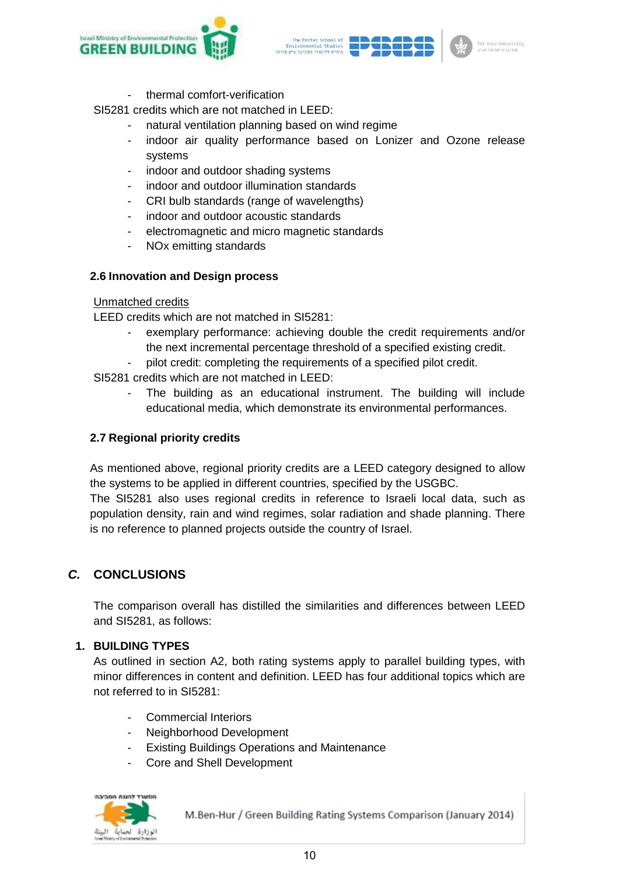



thermal comfort-verification

SI5281 credits which are not matched in LEED:

- natural ventilation planning based on wind regime
- indoor air quality performance based on Lonizer and Ozone release systems
- indoor and outdoor shading systems
- indoor and outdoor illumination standards
- CRI bulb standards (range of wavelengths)
- indoor and outdoor acoustic standards
- electromagnetic and micro magnetic standards
- NOx emitting standards

#### **2.6 Innovation and Design process**

#### Unmatched credits

LEED credits which are not matched in SI5281:

- exemplary performance: achieving double the credit requirements and/or the next incremental percentage threshold of a specified existing credit.
- pilot credit: completing the requirements of a specified pilot credit.

SI5281 credits which are not matched in LEED:

The building as an educational instrument. The building will include educational media, which demonstrate its environmental performances.

## **2.7 Regional priority credits**

As mentioned above, regional priority credits are a LEED category designed to allow the systems to be applied in different countries, specified by the USGBC.

The SI5281 also uses regional credits in reference to Israeli local data, such as population density, rain and wind regimes, solar radiation and shade planning. There is no reference to planned projects outside the country of Israel.

# *C.* **CONCLUSIONS**

The comparison overall has distilled the similarities and differences between LEED and SI5281, as follows:

#### **1. BUILDING TYPES**

As outlined in section A2, both rating systems apply to parallel building types, with minor differences in content and definition. LEED has four additional topics which are not referred to in SI5281:

- Commercial Interiors
- Neighborhood Development
- Existing Buildings Operations and Maintenance
- Core and Shell Development

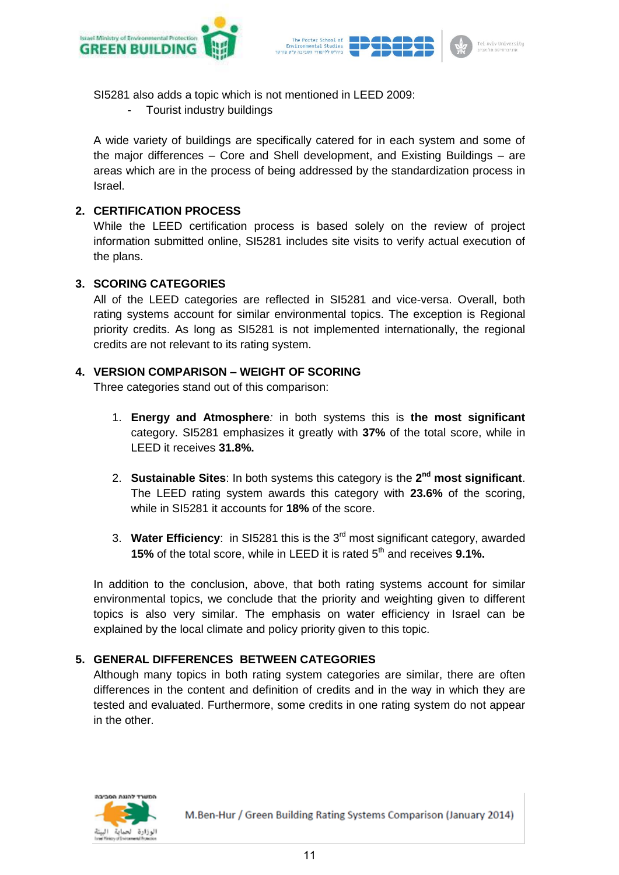



SI5281 also adds a topic which is not mentioned in LEED 2009:

Tourist industry buildings

A wide variety of buildings are specifically catered for in each system and some of the major differences – Core and Shell development, and Existing Buildings – are areas which are in the process of being addressed by the standardization process in Israel.

## **2. CERTIFICATION PROCESS**

While the LEED certification process is based solely on the review of project information submitted online, SI5281 includes site visits to verify actual execution of the plans.

#### **3. SCORING CATEGORIES**

All of the LEED categories are reflected in SI5281 and vice-versa. Overall, both rating systems account for similar environmental topics. The exception is Regional priority credits. As long as SI5281 is not implemented internationally, the regional credits are not relevant to its rating system.

#### **4. VERSION COMPARISON – WEIGHT OF SCORING**

Three categories stand out of this comparison:

- 1. **Energy and Atmosphere***:* in both systems this is **the most significant** category. SI5281 emphasizes it greatly with **37%** of the total score, while in LEED it receives **31.8%.**
- 2. **Sustainable Sites**: In both systems this category is the 2<sup>nd</sup> most significant. The LEED rating system awards this category with **23.6%** of the scoring, while in SI5281 it accounts for **18%** of the score.
- 3. **Water Efficiency**: in SI5281 this is the 3rd most significant category, awarded **15%** of the total score, while in LEED it is rated 5<sup>th</sup> and receives **9.1%.**

In addition to the conclusion, above, that both rating systems account for similar environmental topics, we conclude that the priority and weighting given to different topics is also very similar. The emphasis on water efficiency in Israel can be explained by the local climate and policy priority given to this topic.

# **5. GENERAL DIFFERENCES BETWEEN CATEGORIES**

Although many topics in both rating system categories are similar, there are often differences in the content and definition of credits and in the way in which they are tested and evaluated. Furthermore, some credits in one rating system do not appear in the other.